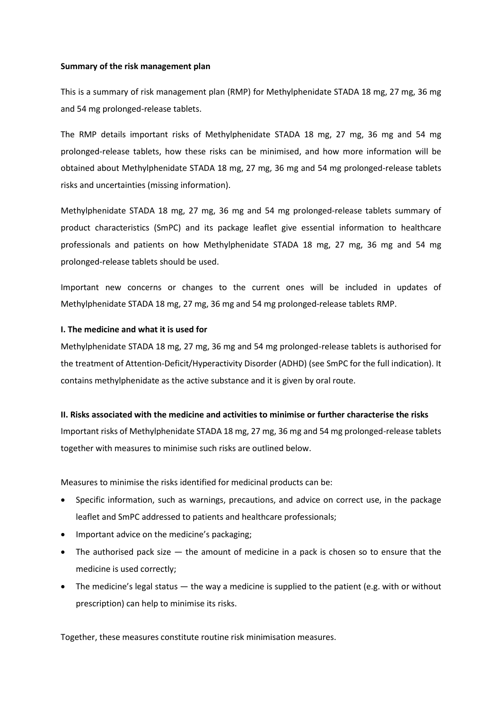### **Summary of the risk management plan**

This is a summary of risk management plan (RMP) for Methylphenidate STADA 18 mg, 27 mg, 36 mg and 54 mg prolonged-release tablets.

The RMP details important risks of Methylphenidate STADA 18 mg, 27 mg, 36 mg and 54 mg prolonged-release tablets, how these risks can be minimised, and how more information will be obtained about Methylphenidate STADA 18 mg, 27 mg, 36 mg and 54 mg prolonged-release tablets risks and uncertainties (missing information).

Methylphenidate STADA 18 mg, 27 mg, 36 mg and 54 mg prolonged-release tablets summary of product characteristics (SmPC) and its package leaflet give essential information to healthcare professionals and patients on how Methylphenidate STADA 18 mg, 27 mg, 36 mg and 54 mg prolonged-release tablets should be used.

Important new concerns or changes to the current ones will be included in updates of Methylphenidate STADA 18 mg, 27 mg, 36 mg and 54 mg prolonged-release tablets RMP.

### **I. The medicine and what it is used for**

Methylphenidate STADA 18 mg, 27 mg, 36 mg and 54 mg prolonged-release tablets is authorised for the treatment of Attention-Deficit/Hyperactivity Disorder (ADHD) (see SmPC for the full indication). It contains methylphenidate as the active substance and it is given by oral route.

#### **II. Risks associated with the medicine and activities to minimise or further characterise the risks**

Important risks of Methylphenidate STADA 18 mg, 27 mg, 36 mg and 54 mg prolonged-release tablets together with measures to minimise such risks are outlined below.

Measures to minimise the risks identified for medicinal products can be:

- Specific information, such as warnings, precautions, and advice on correct use, in the package leaflet and SmPC addressed to patients and healthcare professionals;
- Important advice on the medicine's packaging;
- The authorised pack size the amount of medicine in a pack is chosen so to ensure that the medicine is used correctly;
- The medicine's legal status the way a medicine is supplied to the patient (e.g. with or without prescription) can help to minimise its risks.

Together, these measures constitute routine risk minimisation measures.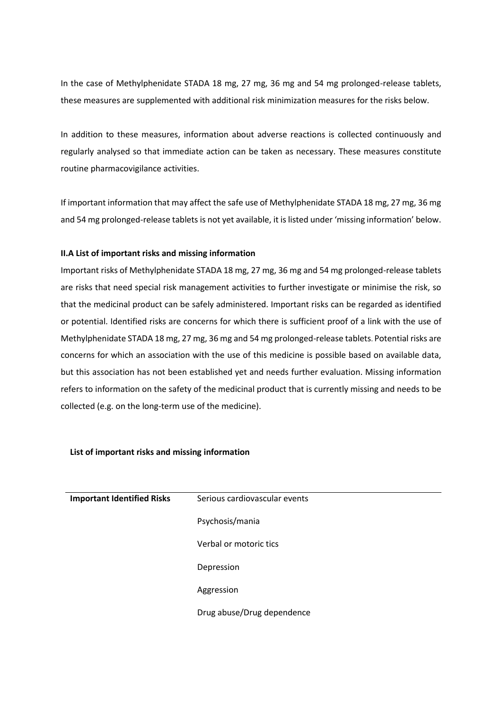In the case of Methylphenidate STADA 18 mg, 27 mg, 36 mg and 54 mg prolonged-release tablets, these measures are supplemented with additional risk minimization measures for the risks below.

In addition to these measures, information about adverse reactions is collected continuously and regularly analysed so that immediate action can be taken as necessary. These measures constitute routine pharmacovigilance activities.

If important information that may affect the safe use of Methylphenidate STADA 18 mg, 27 mg, 36 mg and 54 mg prolonged-release tablets is not yet available, it is listed under 'missing information' below.

### **II.A List of important risks and missing information**

Important risks of Methylphenidate STADA 18 mg, 27 mg, 36 mg and 54 mg prolonged-release tablets are risks that need special risk management activities to further investigate or minimise the risk, so that the medicinal product can be safely administered. Important risks can be regarded as identified or potential. Identified risks are concerns for which there is sufficient proof of a link with the use of Methylphenidate STADA 18 mg, 27 mg, 36 mg and 54 mg prolonged-release tablets. Potential risks are concerns for which an association with the use of this medicine is possible based on available data, but this association has not been established yet and needs further evaluation. Missing information refers to information on the safety of the medicinal product that is currently missing and needs to be collected (e.g. on the long-term use of the medicine).

| <b>Important Identified Risks</b> | Serious cardiovascular events |
|-----------------------------------|-------------------------------|
|                                   | Psychosis/mania               |
|                                   | Verbal or motoric tics        |
|                                   | Depression                    |
|                                   | Aggression                    |
|                                   | Drug abuse/Drug dependence    |

### **List of important risks and missing information**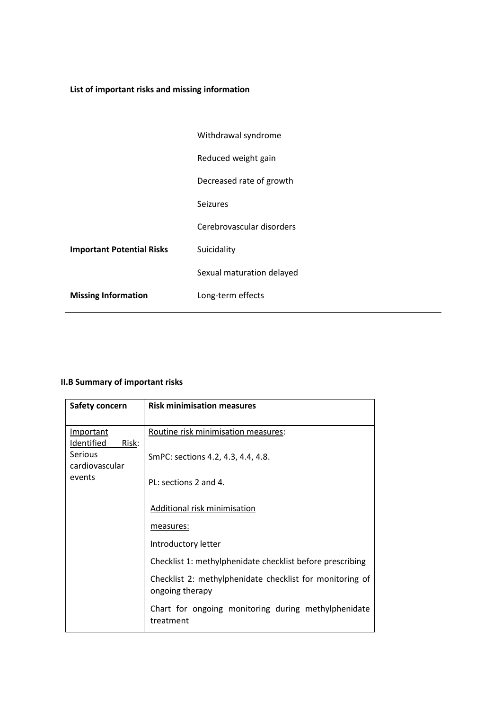# **List of important risks and missing information**

|                                  | Withdrawal syndrome       |
|----------------------------------|---------------------------|
|                                  | Reduced weight gain       |
|                                  | Decreased rate of growth  |
|                                  | <b>Seizures</b>           |
|                                  | Cerebrovascular disorders |
| <b>Important Potential Risks</b> | Suicidality               |
|                                  | Sexual maturation delayed |
| <b>Missing Information</b>       | Long-term effects         |

# **II.B Summary of important risks**

| <b>Safety concern</b>            | <b>Risk minimisation measures</b>                                           |
|----------------------------------|-----------------------------------------------------------------------------|
|                                  |                                                                             |
| <b>Important</b>                 | Routine risk minimisation measures:                                         |
| Identified<br>Risk:              |                                                                             |
| <b>Serious</b><br>cardiovascular | SmPC: sections 4.2, 4.3, 4.4, 4.8.                                          |
| events                           | PL: sections 2 and 4.                                                       |
|                                  | Additional risk minimisation                                                |
|                                  | measures:                                                                   |
|                                  | Introductory letter                                                         |
|                                  | Checklist 1: methylphenidate checklist before prescribing                   |
|                                  | Checklist 2: methylphenidate checklist for monitoring of<br>ongoing therapy |
|                                  | Chart for ongoing monitoring during methylphenidate<br>treatment            |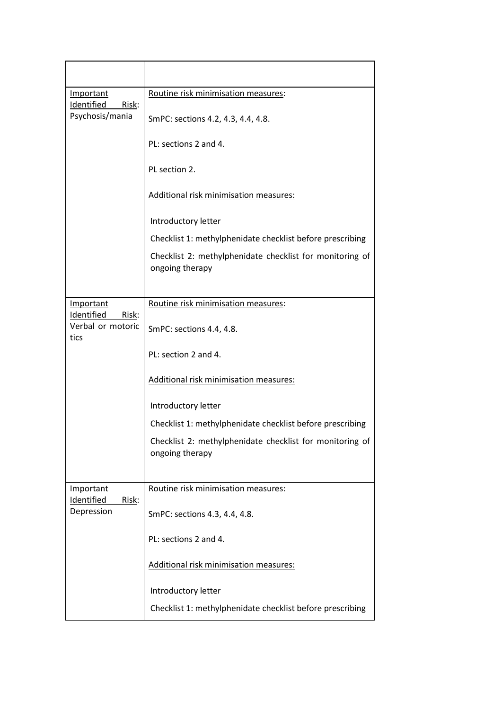| <b>Important</b><br>Identified<br>Risk:<br>Psychosis/mania | Routine risk minimisation measures:                                         |
|------------------------------------------------------------|-----------------------------------------------------------------------------|
|                                                            | SmPC: sections 4.2, 4.3, 4.4, 4.8.                                          |
|                                                            | PL: sections 2 and 4.                                                       |
|                                                            | PL section 2.                                                               |
|                                                            | Additional risk minimisation measures:                                      |
|                                                            | Introductory letter                                                         |
|                                                            | Checklist 1: methylphenidate checklist before prescribing                   |
|                                                            | Checklist 2: methylphenidate checklist for monitoring of<br>ongoing therapy |
|                                                            |                                                                             |
| Important<br>Identified<br>Risk:                           | Routine risk minimisation measures:                                         |
| Verbal or motoric<br>tics                                  | SmPC: sections 4.4, 4.8.                                                    |
|                                                            | PL: section 2 and 4.                                                        |
|                                                            | Additional risk minimisation measures:                                      |
|                                                            | Introductory letter                                                         |
|                                                            | Checklist 1: methylphenidate checklist before prescribing                   |
|                                                            | Checklist 2: methylphenidate checklist for monitoring of<br>ongoing therapy |
| Important<br><b>Identified</b><br>Risk:<br>Depression      | Routine risk minimisation measures:                                         |
|                                                            |                                                                             |
|                                                            | SmPC: sections 4.3, 4.4, 4.8.                                               |
|                                                            | PL: sections 2 and 4.                                                       |
|                                                            | Additional risk minimisation measures:                                      |
|                                                            | Introductory letter                                                         |
|                                                            | Checklist 1: methylphenidate checklist before prescribing                   |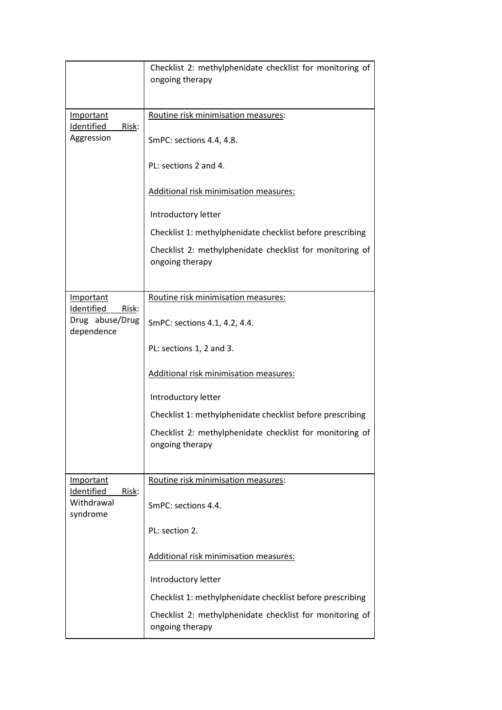|                                                              | Checklist 2: methylphenidate checklist for monitoring of<br>ongoing therapy |
|--------------------------------------------------------------|-----------------------------------------------------------------------------|
| <b>Important</b><br>Risk:<br><b>Identified</b><br>Aggression | Routine risk minimisation measures:<br>SmPC: sections 4.4, 4.8.             |
|                                                              | PL: sections 2 and 4.                                                       |
|                                                              | Additional risk minimisation measures:                                      |
|                                                              | Introductory letter                                                         |
|                                                              | Checklist 1: methylphenidate checklist before prescribing                   |
|                                                              | Checklist 2: methylphenidate checklist for monitoring of<br>ongoing therapy |
|                                                              |                                                                             |
| <b>Important</b><br>Identified<br>Risk:                      | Routine risk minimisation measures:                                         |
| Drug abuse/Drug<br>dependence                                | SmPC: sections 4.1, 4.2, 4.4.                                               |
|                                                              | PL: sections 1, 2 and 3.                                                    |
|                                                              | Additional risk minimisation measures:                                      |
|                                                              | Introductory letter                                                         |
|                                                              | Checklist 1: methylphenidate checklist before prescribing                   |
|                                                              | Checklist 2: methylphenidate checklist for monitoring of<br>ongoing therapy |
| Important<br>Identified<br>Risk:<br>Withdrawal<br>syndrome   | Routine risk minimisation measures:                                         |
|                                                              | SmPC: sections 4.4.                                                         |
|                                                              | PL: section 2.                                                              |
|                                                              | Additional risk minimisation measures:                                      |
|                                                              | Introductory letter                                                         |
|                                                              | Checklist 1: methylphenidate checklist before prescribing                   |
|                                                              | Checklist 2: methylphenidate checklist for monitoring of<br>ongoing therapy |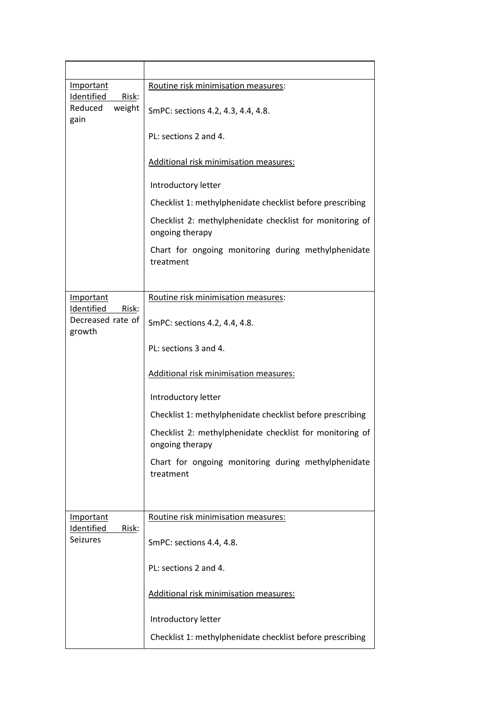| <b>Important</b><br><b>Identified</b><br>Risk:             | Routine risk minimisation measures:                                         |
|------------------------------------------------------------|-----------------------------------------------------------------------------|
| weight<br>Reduced<br>gain                                  | SmPC: sections 4.2, 4.3, 4.4, 4.8.                                          |
|                                                            | PL: sections 2 and 4.                                                       |
|                                                            | Additional risk minimisation measures:                                      |
|                                                            | Introductory letter                                                         |
|                                                            | Checklist 1: methylphenidate checklist before prescribing                   |
|                                                            | Checklist 2: methylphenidate checklist for monitoring of<br>ongoing therapy |
|                                                            | Chart for ongoing monitoring during methylphenidate<br>treatment            |
| Important                                                  | Routine risk minimisation measures:                                         |
| Identified<br>Risk:                                        |                                                                             |
| Decreased rate of<br>growth                                | SmPC: sections 4.2, 4.4, 4.8.                                               |
|                                                            | PL: sections 3 and 4.                                                       |
|                                                            | Additional risk minimisation measures:                                      |
|                                                            | Introductory letter                                                         |
|                                                            | Checklist 1: methylphenidate checklist before prescribing                   |
|                                                            | Checklist 2: methylphenidate checklist for monitoring of<br>ongoing therapy |
|                                                            | Chart for ongoing monitoring during methylphenidate<br>treatment            |
|                                                            |                                                                             |
| Important<br><b>Identified</b><br>Risk:<br><b>Seizures</b> | Routine risk minimisation measures:                                         |
|                                                            | SmPC: sections 4.4, 4.8.                                                    |
|                                                            | PL: sections 2 and 4.                                                       |
|                                                            | Additional risk minimisation measures:                                      |
|                                                            | Introductory letter                                                         |
|                                                            | Checklist 1: methylphenidate checklist before prescribing                   |